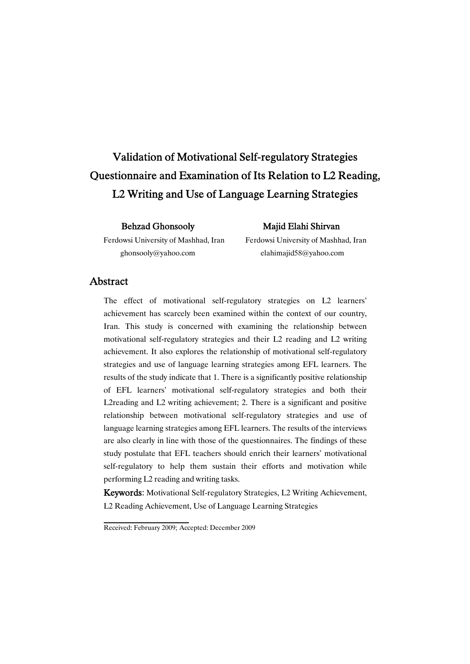# Validation of Motivational Self-regulatory Strategies Questionnaire and Examination of Its Relation to L2 Reading, L2 Writing and Use of Language Learning Strategies

Behzad Ghonsooly Majid Elahi Shirvan

Ferdowsi University of Mashhad, Iran Ferdowsi University of Mashhad, Iran ghonsooly@yahoo.com elahimajid58@yahoo.com

### Abstract

The effect of motivational self-regulatory strategies on L2 learners' achievement has scarcely been examined within the context of our country, Iran. This study is concerned with examining the relationship between motivational self-regulatory strategies and their L2 reading and L2 writing achievement. It also explores the relationship of motivational self-regulatory strategies and use of language learning strategies among EFL learners. The results of the study indicate that 1. There is a significantly positive relationship of EFL learners' motivational self-regulatory strategies and both their L2reading and L2 writing achievement; 2. There is a significant and positive relationship between motivational self-regulatory strategies and use of language learning strategies among EFL learners. The results of the interviews are also clearly in line with those of the questionnaires. The findings of these study postulate that EFL teachers should enrich their learners' motivational self-regulatory to help them sustain their efforts and motivation while performing L2 reading and writing tasks.

Keywords: Motivational Self-regulatory Strategies, L2 Writing Achievement, L2 Reading Achievement, Use of Language Learning Strategies

Received: February 2009; Accepted: December 2009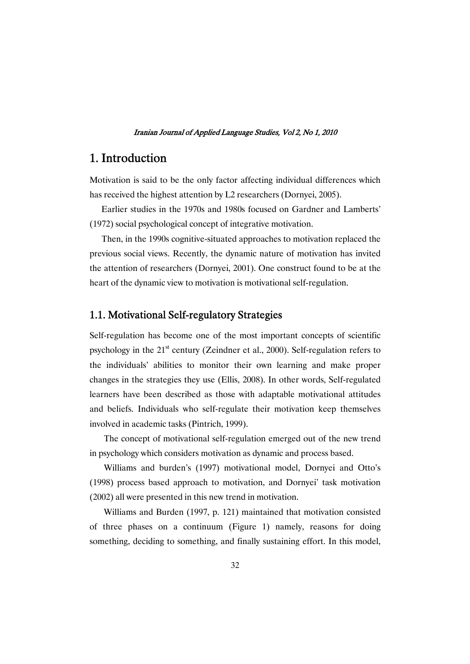# 1. Introduction

Motivation is said to be the only factor affecting individual differences which has received the highest attention by L2 researchers (Dornyei, 2005).

Earlier studies in the 1970s and 1980s focused on Gardner and Lamberts' (1972) social psychological concept of integrative motivation.

Then, in the 1990s cognitive-situated approaches to motivation replaced the previous social views. Recently, the dynamic nature of motivation has invited the attention of researchers (Dornyei, 2001). One construct found to be at the heart of the dynamic view to motivation is motivational self-regulation.

### 1.1. Motivational Self-regulatory Strategies

Self-regulation has become one of the most important concepts of scientific psychology in the  $21<sup>st</sup>$  century (Zeindner et al., 2000). Self-regulation refers to the individuals' abilities to monitor their own learning and make proper changes in the strategies they use (Ellis, 2008). In other words, Self-regulated learners have been described as those with adaptable motivational attitudes and beliefs. Individuals who self-regulate their motivation keep themselves involved in academic tasks (Pintrich, 1999).

The concept of motivational self-regulation emerged out of the new trend in psychology which considers motivation as dynamic and process based.

Williams and burden's (1997) motivational model, Dornyei and Otto's (1998) process based approach to motivation, and Dornyei' task motivation (2002) all were presented in this new trend in motivation.

Williams and Burden (1997, p. 121) maintained that motivation consisted of three phases on a continuum (Figure 1) namely, reasons for doing something, deciding to something, and finally sustaining effort. In this model,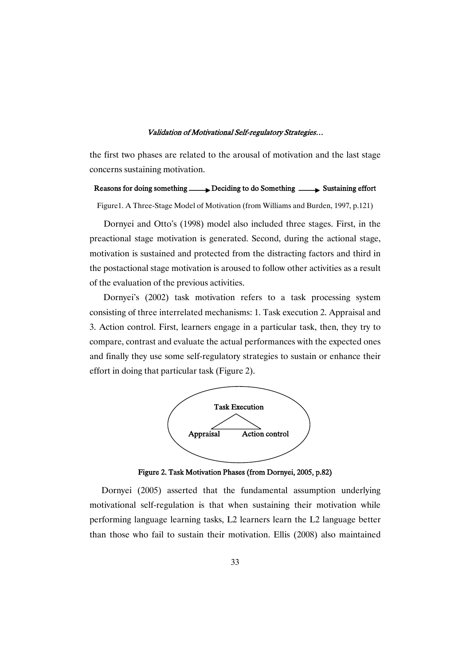the first two phases are related to the arousal of motivation and the last stage concerns sustaining motivation.

### Reasons for doing something  $\longrightarrow$  Deciding to do Something  $\longrightarrow$  Sustaining effort

Figure1. A Three-Stage Model of Motivation (from Williams and Burden, 1997, p.121)

Dornyei and Otto's (1998) model also included three stages. First, in the preactional stage motivation is generated. Second, during the actional stage, motivation is sustained and protected from the distracting factors and third in the postactional stage motivation is aroused to follow other activities as a result of the evaluation of the previous activities.

Dornyei's (2002) task motivation refers to a task processing system consisting of three interrelated mechanisms: 1. Task execution 2. Appraisal and 3. Action control. First, learners engage in a particular task, then, they try to compare, contrast and evaluate the actual performances with the expected ones and finally they use some self-regulatory strategies to sustain or enhance their effort in doing that particular task (Figure 2).



Figure 2. Task Motivation Phases (from Dornyei, 2005, p.82)

Dornyei (2005) asserted that the fundamental assumption underlying motivational self-regulation is that when sustaining their motivation while performing language learning tasks, L2 learners learn the L2 language better than those who fail to sustain their motivation. Ellis (2008) also maintained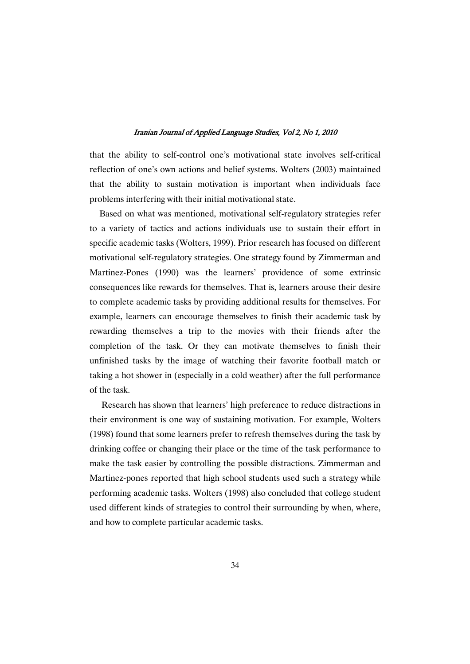that the ability to self-control one's motivational state involves self-critical reflection of one's own actions and belief systems. Wolters (2003) maintained that the ability to sustain motivation is important when individuals face problems interfering with their initial motivational state.

Based on what was mentioned, motivational self-regulatory strategies refer to a variety of tactics and actions individuals use to sustain their effort in specific academic tasks (Wolters, 1999). Prior research has focused on different motivational self-regulatory strategies. One strategy found by Zimmerman and Martinez-Pones (1990) was the learners' providence of some extrinsic consequences like rewards for themselves. That is, learners arouse their desire to complete academic tasks by providing additional results for themselves. For example, learners can encourage themselves to finish their academic task by rewarding themselves a trip to the movies with their friends after the completion of the task. Or they can motivate themselves to finish their unfinished tasks by the image of watching their favorite football match or taking a hot shower in (especially in a cold weather) after the full performance of the task.

Research has shown that learners' high preference to reduce distractions in their environment is one way of sustaining motivation. For example, Wolters (1998) found that some learners prefer to refresh themselves during the task by drinking coffee or changing their place or the time of the task performance to make the task easier by controlling the possible distractions. Zimmerman and Martinez-pones reported that high school students used such a strategy while performing academic tasks. Wolters (1998) also concluded that college student used different kinds of strategies to control their surrounding by when, where, and how to complete particular academic tasks.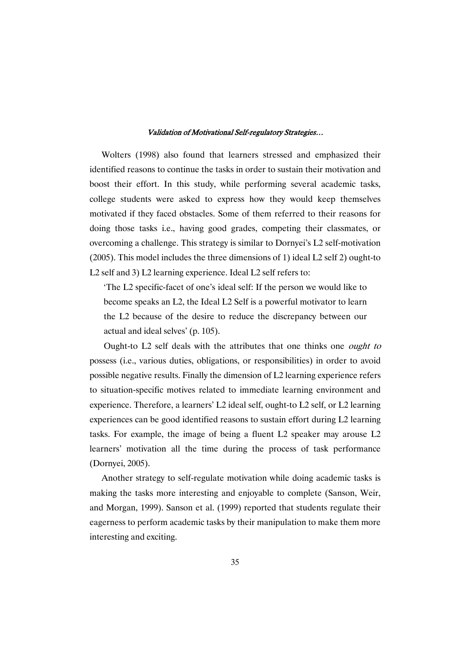Wolters (1998) also found that learners stressed and emphasized their identified reasons to continue the tasks in order to sustain their motivation and boost their effort. In this study, while performing several academic tasks, college students were asked to express how they would keep themselves motivated if they faced obstacles. Some of them referred to their reasons for doing those tasks i.e., having good grades, competing their classmates, or overcoming a challenge. This strategy is similar to Dornyei's L2 self-motivation (2005). This model includes the three dimensions of 1) ideal L2 self 2) ought-to L<sub>2</sub> self and 3) L<sub>2</sub> learning experience. Ideal L<sub>2</sub> self refers to:

'The L2 specific-facet of one's ideal self: If the person we would like to become speaks an L2, the Ideal L2 Self is a powerful motivator to learn the L2 because of the desire to reduce the discrepancy between our actual and ideal selves' (p. 105).

Ought-to L2 self deals with the attributes that one thinks one ought to possess (i.e., various duties, obligations, or responsibilities) in order to avoid possible negative results. Finally the dimension of L2 learning experience refers to situation-specific motives related to immediate learning environment and experience. Therefore, a learners' L2 ideal self, ought-to L2 self, or L2 learning experiences can be good identified reasons to sustain effort during L2 learning tasks. For example, the image of being a fluent L2 speaker may arouse L2 learners' motivation all the time during the process of task performance (Dornyei, 2005).

Another strategy to self-regulate motivation while doing academic tasks is making the tasks more interesting and enjoyable to complete (Sanson, Weir, and Morgan, 1999). Sanson et al. (1999) reported that students regulate their eagerness to perform academic tasks by their manipulation to make them more interesting and exciting.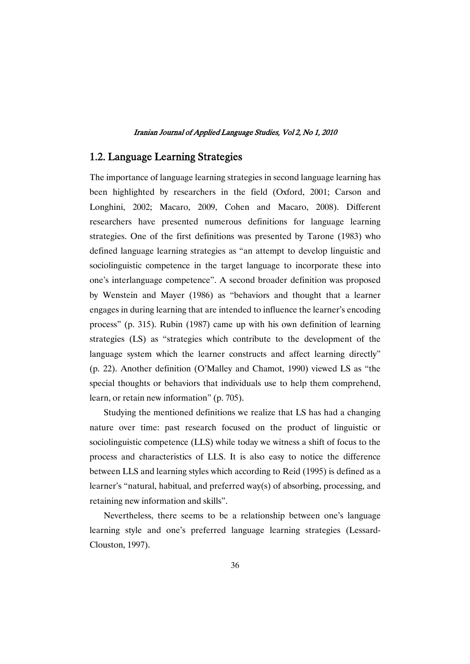### 1.2. Language Learning Strategies

The importance of language learning strategies in second language learning has been highlighted by researchers in the field (Oxford, 2001; Carson and Longhini, 2002; Macaro, 2009, Cohen and Macaro, 2008). Different researchers have presented numerous definitions for language learning strategies. One of the first definitions was presented by Tarone (1983) who defined language learning strategies as "an attempt to develop linguistic and sociolinguistic competence in the target language to incorporate these into one's interlanguage competence". A second broader definition was proposed by Wenstein and Mayer (1986) as "behaviors and thought that a learner engages in during learning that are intended to influence the learner's encoding process" (p. 315). Rubin (1987) came up with his own definition of learning strategies (LS) as "strategies which contribute to the development of the language system which the learner constructs and affect learning directly" (p. 22). Another definition (O'Malley and Chamot, 1990) viewed LS as "the special thoughts or behaviors that individuals use to help them comprehend, learn, or retain new information" (p. 705).

Studying the mentioned definitions we realize that LS has had a changing nature over time: past research focused on the product of linguistic or sociolinguistic competence (LLS) while today we witness a shift of focus to the process and characteristics of LLS. It is also easy to notice the difference between LLS and learning styles which according to Reid (1995) is defined as a learner's "natural, habitual, and preferred way(s) of absorbing, processing, and retaining new information and skills".

Nevertheless, there seems to be a relationship between one's language learning style and one's preferred language learning strategies (Lessard-Clouston, 1997).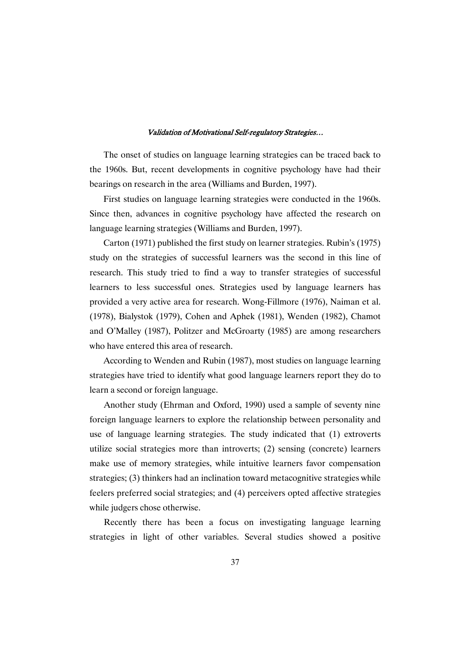The onset of studies on language learning strategies can be traced back to the 1960s. But, recent developments in cognitive psychology have had their bearings on research in the area (Williams and Burden, 1997).

First studies on language learning strategies were conducted in the 1960s. Since then, advances in cognitive psychology have affected the research on language learning strategies (Williams and Burden, 1997).

Carton (1971) published the first study on learner strategies. Rubin's (1975) study on the strategies of successful learners was the second in this line of research. This study tried to find a way to transfer strategies of successful learners to less successful ones. Strategies used by language learners has provided a very active area for research. Wong-Fillmore (1976), Naiman et al. (1978), Bialystok (1979), Cohen and Aphek (1981), Wenden (1982), Chamot and O'Malley (1987), Politzer and McGroarty (1985) are among researchers who have entered this area of research.

According to Wenden and Rubin (1987), most studies on language learning strategies have tried to identify what good language learners report they do to learn a second or foreign language.

Another study (Ehrman and Oxford, 1990) used a sample of seventy nine foreign language learners to explore the relationship between personality and use of language learning strategies. The study indicated that (1) extroverts utilize social strategies more than introverts; (2) sensing (concrete) learners make use of memory strategies, while intuitive learners favor compensation strategies; (3) thinkers had an inclination toward metacognitive strategies while feelers preferred social strategies; and (4) perceivers opted affective strategies while judgers chose otherwise.

Recently there has been a focus on investigating language learning strategies in light of other variables. Several studies showed a positive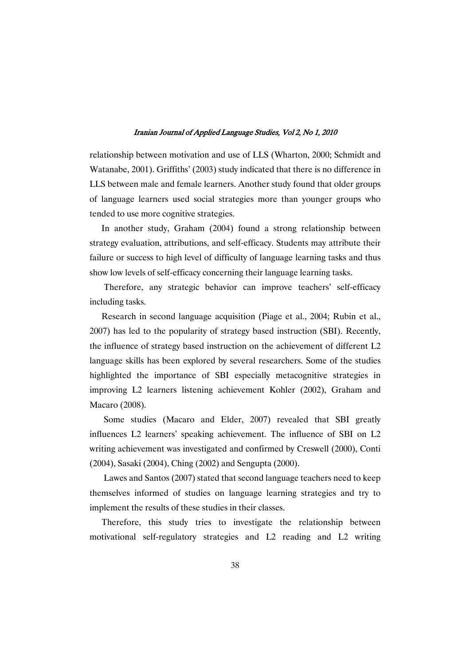relationship between motivation and use of LLS (Wharton, 2000; Schmidt and Watanabe, 2001). Griffiths' (2003) study indicated that there is no difference in LLS between male and female learners. Another study found that older groups of language learners used social strategies more than younger groups who tended to use more cognitive strategies.

In another study, Graham (2004) found a strong relationship between strategy evaluation, attributions, and self-efficacy. Students may attribute their failure or success to high level of difficulty of language learning tasks and thus show low levels of self-efficacy concerning their language learning tasks.

Therefore, any strategic behavior can improve teachers' self-efficacy including tasks.

Research in second language acquisition (Piage et al., 2004; Rubin et al., 2007) has led to the popularity of strategy based instruction (SBI). Recently, the influence of strategy based instruction on the achievement of different L2 language skills has been explored by several researchers. Some of the studies highlighted the importance of SBI especially metacognitive strategies in improving L2 learners listening achievement Kohler (2002), Graham and Macaro (2008).

Some studies (Macaro and Elder, 2007) revealed that SBI greatly influences L2 learners' speaking achievement. The influence of SBI on L2 writing achievement was investigated and confirmed by Creswell (2000), Conti (2004), Sasaki (2004), Ching (2002) and Sengupta (2000).

Lawes and Santos (2007) stated that second language teachers need to keep themselves informed of studies on language learning strategies and try to implement the results of these studies in their classes.

Therefore, this study tries to investigate the relationship between motivational self-regulatory strategies and L2 reading and L2 writing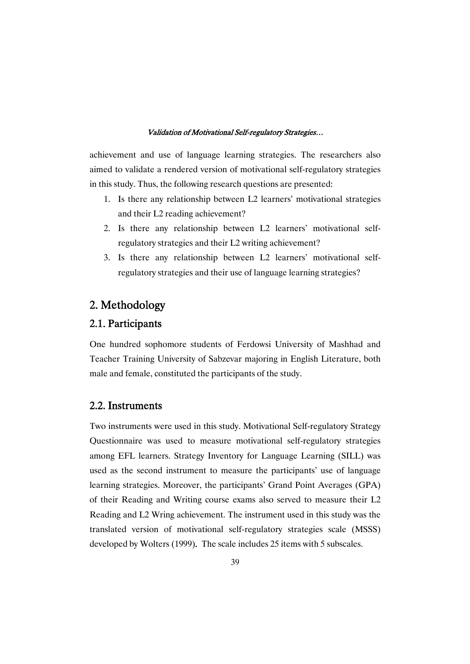achievement and use of language learning strategies. The researchers also aimed to validate a rendered version of motivational self-regulatory strategies in this study. Thus, the following research questions are presented:

- 1. Is there any relationship between L2 learners' motivational strategies and their L2 reading achievement?
- 2. Is there any relationship between L2 learners' motivational selfregulatory strategies and their L2 writing achievement?
- 3. Is there any relationship between L2 learners' motivational selfregulatory strategies and their use of language learning strategies?

# 2. Methodology

# 2.1. Participants

One hundred sophomore students of Ferdowsi University of Mashhad and Teacher Training University of Sabzevar majoring in English Literature, both male and female, constituted the participants of the study.

### 2.2. Instruments

Two instruments were used in this study. Motivational Self-regulatory Strategy Questionnaire was used to measure motivational self-regulatory strategies among EFL learners. Strategy Inventory for Language Learning (SILL) was used as the second instrument to measure the participants' use of language learning strategies. Moreover, the participants' Grand Point Averages (GPA) of their Reading and Writing course exams also served to measure their L2 Reading and L2 Wring achievement. The instrument used in this study was the translated version of motivational self-regulatory strategies scale (MSSS) developed by Wolters (1999). The scale includes 25 items with 5 subscales.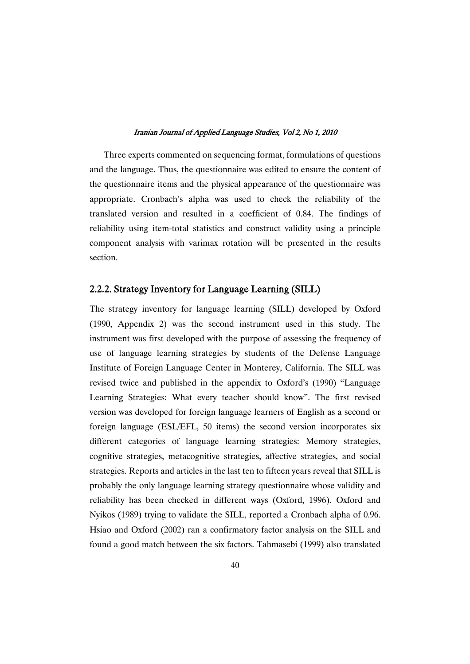Three experts commented on sequencing format, formulations of questions and the language. Thus, the questionnaire was edited to ensure the content of the questionnaire items and the physical appearance of the questionnaire was appropriate. Cronbach's alpha was used to check the reliability of the translated version and resulted in a coefficient of 0.84. The findings of reliability using item-total statistics and construct validity using a principle component analysis with varimax rotation will be presented in the results section.

# 2.2.2. Strategy Inventory for Language Learning (SILL)

The strategy inventory for language learning (SILL) developed by Oxford (1990, Appendix 2) was the second instrument used in this study. The instrument was first developed with the purpose of assessing the frequency of use of language learning strategies by students of the Defense Language Institute of Foreign Language Center in Monterey, California. The SILL was revised twice and published in the appendix to Oxford's (1990) "Language Learning Strategies: What every teacher should know". The first revised version was developed for foreign language learners of English as a second or foreign language (ESL/EFL, 50 items) the second version incorporates six different categories of language learning strategies: Memory strategies, cognitive strategies, metacognitive strategies, affective strategies, and social strategies. Reports and articles in the last ten to fifteen years reveal that SILL is probably the only language learning strategy questionnaire whose validity and reliability has been checked in different ways (Oxford, 1996). Oxford and Nyikos (1989) trying to validate the SILL, reported a Cronbach alpha of 0.96. Hsiao and Oxford (2002) ran a confirmatory factor analysis on the SILL and found a good match between the six factors. Tahmasebi (1999) also translated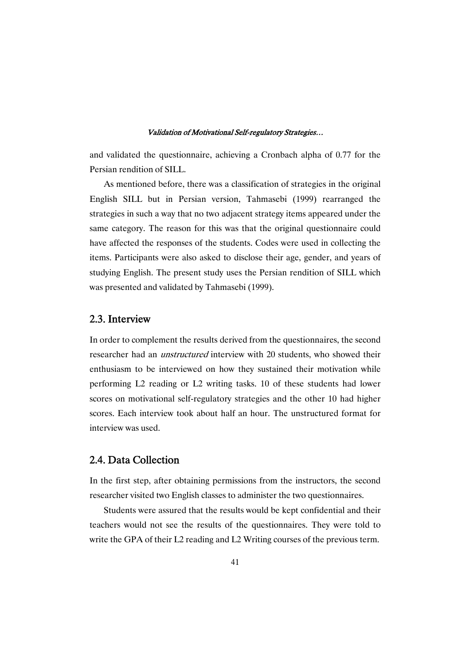and validated the questionnaire, achieving a Cronbach alpha of 0.77 for the Persian rendition of SILL.

As mentioned before, there was a classification of strategies in the original English SILL but in Persian version, Tahmasebi (1999) rearranged the strategies in such a way that no two adjacent strategy items appeared under the same category. The reason for this was that the original questionnaire could have affected the responses of the students. Codes were used in collecting the items. Participants were also asked to disclose their age, gender, and years of studying English. The present study uses the Persian rendition of SILL which was presented and validated by Tahmasebi (1999).

# 2.3. Interview

In order to complement the results derived from the questionnaires, the second researcher had an *unstructured* interview with 20 students, who showed their enthusiasm to be interviewed on how they sustained their motivation while performing L2 reading or L2 writing tasks. 10 of these students had lower scores on motivational self-regulatory strategies and the other 10 had higher scores. Each interview took about half an hour. The unstructured format for interview was used.

# 2.4. Data Collection

In the first step, after obtaining permissions from the instructors, the second researcher visited two English classes to administer the two questionnaires.

Students were assured that the results would be kept confidential and their teachers would not see the results of the questionnaires. They were told to write the GPA of their L2 reading and L2 Writing courses of the previous term.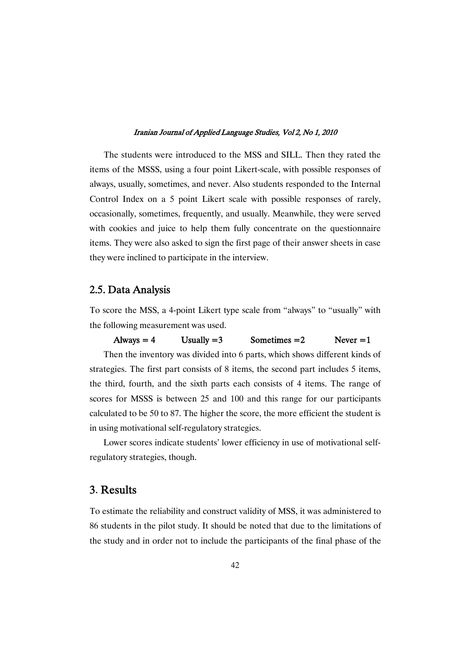The students were introduced to the MSS and SILL. Then they rated the items of the MSSS, using a four point Likert-scale, with possible responses of always, usually, sometimes, and never. Also students responded to the Internal Control Index on a 5 point Likert scale with possible responses of rarely, occasionally, sometimes, frequently, and usually. Meanwhile, they were served with cookies and juice to help them fully concentrate on the questionnaire items. They were also asked to sign the first page of their answer sheets in case they were inclined to participate in the interview.

### 2.5. Data Analysis

To score the MSS, a 4-point Likert type scale from "always" to "usually" with the following measurement was used.

### Always = 4 Usually = 3 Sometimes = 2 Never = 1

Then the inventory was divided into 6 parts, which shows different kinds of strategies. The first part consists of 8 items, the second part includes 5 items, the third, fourth, and the sixth parts each consists of 4 items. The range of scores for MSSS is between 25 and 100 and this range for our participants calculated to be 50 to 87. The higher the score, the more efficient the student is in using motivational self-regulatory strategies.

Lower scores indicate students' lower efficiency in use of motivational selfregulatory strategies, though.

### 3. Results

To estimate the reliability and construct validity of MSS, it was administered to 86 students in the pilot study. It should be noted that due to the limitations of the study and in order not to include the participants of the final phase of the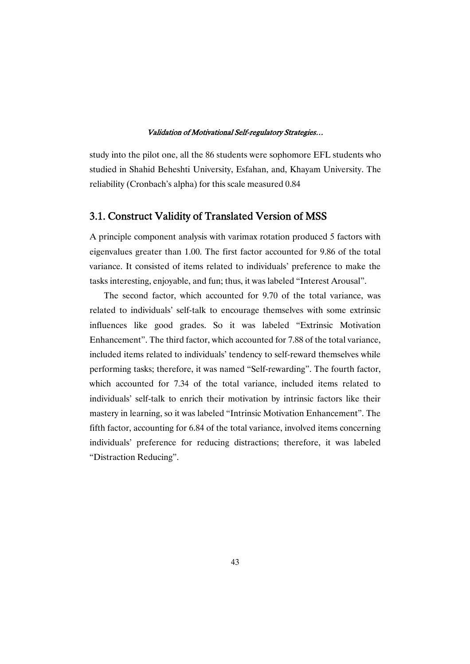study into the pilot one, all the 86 students were sophomore EFL students who studied in Shahid Beheshti University, Esfahan, and, Khayam University. The reliability (Cronbach's alpha) for this scale measured 0.84

### 3.1. Construct Validity of Translated Version of MSS

A principle component analysis with varimax rotation produced 5 factors with eigenvalues greater than 1.00. The first factor accounted for 9.86 of the total variance. It consisted of items related to individuals' preference to make the tasks interesting, enjoyable, and fun; thus, it was labeled "Interest Arousal".

The second factor, which accounted for 9.70 of the total variance, was related to individuals' self-talk to encourage themselves with some extrinsic influences like good grades. So it was labeled "Extrinsic Motivation Enhancement". The third factor, which accounted for 7.88 of the total variance, included items related to individuals' tendency to self-reward themselves while performing tasks; therefore, it was named "Self-rewarding". The fourth factor, which accounted for 7.34 of the total variance, included items related to individuals' self-talk to enrich their motivation by intrinsic factors like their mastery in learning, so it was labeled "Intrinsic Motivation Enhancement". The fifth factor, accounting for 6.84 of the total variance, involved items concerning individuals' preference for reducing distractions; therefore, it was labeled "Distraction Reducing".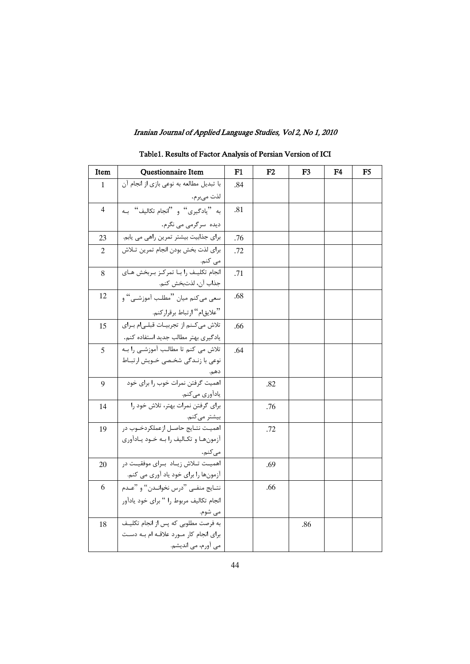| Item           | Questionnaire Item                        | F1  | F2  | F <sub>3</sub> | F <sub>4</sub> | F <sub>5</sub> |
|----------------|-------------------------------------------|-----|-----|----------------|----------------|----------------|
| $\mathbf{1}$   | با تبدیل مطالعه به نوعی بازی از انجام آن  | .84 |     |                |                |                |
|                | لذت مىبرم.                                |     |     |                |                |                |
| $\overline{4}$ | به "يادگيري" و "انجام تكاليف" بـه         | .81 |     |                |                |                |
|                | دیده ۔سرگرمی می نگرم.                     |     |     |                |                |                |
| 23             | برای جذابیت بیشتر تمرین راهی می یابم.     | .76 |     |                |                |                |
| 2              | براي لذت بخش بودن انجام تمرين تلاش        | .72 |     |                |                |                |
|                | می کنم.                                   |     |     |                |                |                |
| 8              | انجام تكليـف ,ا بــا تمركـز بــربخش هــاي | .71 |     |                |                |                |
|                | جذاب آن، لذتبخش كنم.                      |     |     |                |                |                |
| 12             | سعي مي كنم ميان "مطلب أموزشي" و           | .68 |     |                |                |                |
|                | "علايقام" ارتباط برقراركنم.               |     |     |                |                |                |
| 15             | تلاش می کنم از تجربیـات قبلـی م بـرای     | .66 |     |                |                |                |
|                | یادگیری بهتر مطالب جدید استفاده کنم.      |     |     |                |                |                |
| 5              | ۔<br>تلاش می کنم تا مطالب آموزشـی را بــه | .64 |     |                |                |                |
|                | نوعی با زندگی شخصی خویش ارتباط            |     |     |                |                |                |
|                | دهم.                                      |     |     |                |                |                |
| 9              | اهمیت گرفتن نمرات خوب را برای خود         |     | .82 |                |                |                |
|                | ياداًوري ميكنم.                           |     |     |                |                |                |
| 14             | برای گرفتن نمرات بهتر، تلاش خود را        |     | .76 |                |                |                |
|                | بیشتر میکنم.                              |     |     |                |                |                |
| 19             | اهميـت نتــايج حاصــل ازعملكردخــوب در    |     | .72 |                |                |                |
|                | آزمون ها و تكـاليف را بـه خـود يـادآوري   |     |     |                |                |                |
|                | مى كنم.                                   |     |     |                |                |                |
| 20             | اهمیت تــلاش زیــاد  بــرای موفقیــت در   |     | .69 |                |                |                |
|                | آزمونها را برای خود یاد آوری می کنم.      |     |     |                |                |                |
| 6              | نتــايج منفــي "درس نخوانــدن" و "عــدم   |     | .66 |                |                |                |
|                | انجام تكاليف مربوط را " براي خود يادآور   |     |     |                |                |                |
|                | می شوم.                                   |     |     |                |                |                |
| 18             | به فرصت مطلوبی که پس از انجام تکلیـف      |     |     | .86            |                |                |
|                | برای انجام کار مورد علاقه ام بـه دسـت     |     |     |                |                |                |
|                | می آورم، می اندیشم.                       |     |     |                |                |                |

# Table1. Results of Factor Analysis of Persian Version of ICI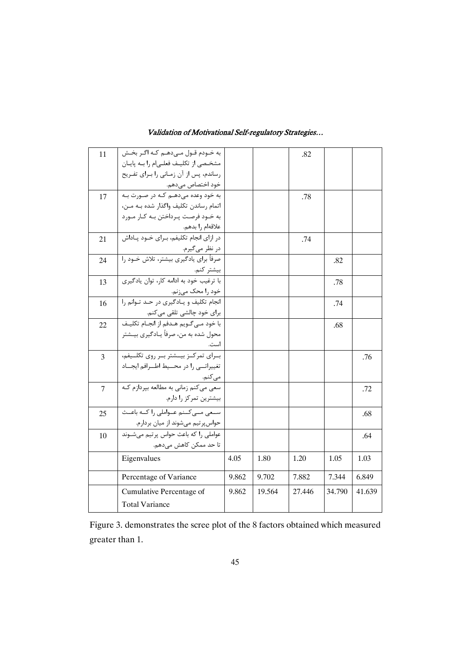| 11             | به خـودم قـول مـىدهـم كـه اگـر بخـش                      |       |        | .82    |        |        |
|----------------|----------------------------------------------------------|-------|--------|--------|--------|--------|
|                | مشخصی از تکلیف فعلـیام را بـه پایـان                     |       |        |        |        |        |
|                | رساندم، پس از آن زمـانی را بـرای تفـریح                  |       |        |        |        |        |
|                | خود اختصاص مىدهم.                                        |       |        |        |        |        |
| 17             | به خود وعده میدهـم کـه در صـورت بـه                      |       |        | .78    |        |        |
|                | اتمام رساندن تكليف واگذار شده بـه مـن،                   |       |        |        |        |        |
|                | به خـود فرصـت پـرداختن بـه کـار مـورد                    |       |        |        |        |        |
|                | علاقهام را بدهم.                                         |       |        |        |        |        |
| 21             | در ازای انجام تکلیفم، بـرای خــود پــاداش                |       |        | .74    |        |        |
|                | در نظر میگیرم.<br>صرفاً برای یادگیری بیشتر، تلاش خـود را |       |        |        |        |        |
| 24             |                                                          |       |        |        | .82    |        |
|                | بيشتر كنم.                                               |       |        |        |        |        |
| 13             | <u>ب</u> ا ترغیب خود به ادامه کار، توان یادگیری          |       |        |        | .78    |        |
|                | خود را محک میزنم.                                        |       |        |        |        |        |
| 16             | انجام تکلیف و یـادگیری در حـد تـوانم را                  |       |        |        | .74    |        |
|                | برای خود چالشی تلقی میکنم.                               |       |        |        |        |        |
| 22             | با خود مــی <i>گــ</i> ویم هــدفم از انجــام تکلیــف     |       |        |        | .68    |        |
|                | محول شده به من، صرفاً یـادگیری بیـشتر                    |       |        |        |        |        |
|                | است.                                                     |       |        |        |        |        |
| $\overline{3}$ | بــرای تمرکــز بیــشتر بــر روی تکلــیفم،                |       |        |        |        | .76    |
|                | تغییراتــی را در محــیط اطــرافم ایجــاد                 |       |        |        |        |        |
|                | مى كنم.                                                  |       |        |        |        |        |
| 7              | سعی می کنم زمانی به مطالعه بیردازم ک                     |       |        |        |        | .72    |
|                | بیشترین تمرکز را دارم.                                   |       |        |        |        |        |
| 25             | سعی مےکنم عـواملی را کــه باعـث                          |       |        |        |        | .68    |
|                | حواس پرتیم میشوند از میان بردارم.                        |       |        |        |        |        |
| 10             | عواملی را که باعث حواس پرتیم میشوند                      |       |        |        |        | .64    |
|                | تا حد ممکن کاهش میدهم.                                   |       |        |        |        |        |
|                | Eigenvalues                                              | 4.05  | 1.80   | 1.20   | 1.05   | 1.03   |
|                | Percentage of Variance                                   | 9.862 | 9.702  | 7.882  | 7.344  | 6.849  |
|                | Cumulative Percentage of                                 | 9.862 | 19.564 | 27.446 | 34.790 | 41.639 |
|                | <b>Total Variance</b>                                    |       |        |        |        |        |
|                |                                                          |       |        |        |        |        |

Figure 3. demonstrates the scree plot of the 8 factors obtained which measured greater than 1.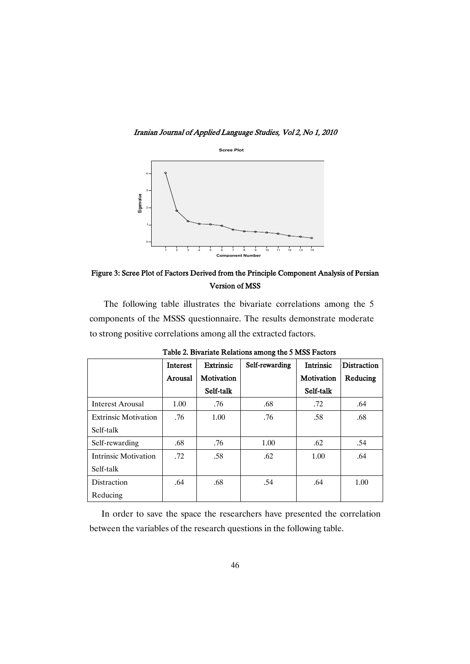Iranian Journal of Applied Language Studies, Vol 2, No 1, 2010



Figure 3: Scree Plot of Factors Derived from the Principle Component Analysis of Persian Version of MSS

The following table illustrates the bivariate correlations among the 5 components of the MSSS questionnaire. The results demonstrate moderate to strong positive correlations among all the extracted factors.

|                             | <b>Interest</b> | <b>Extrinsic</b> | Self-rewarding | <b>Intrinsic</b> | <b>Distraction</b> |
|-----------------------------|-----------------|------------------|----------------|------------------|--------------------|
|                             | Arousal         | Motivation       |                | Motivation       | Reducing           |
|                             |                 | Self-talk        |                | Self-talk        |                    |
| <b>Interest Arousal</b>     | 1.00            | .76              | .68            | .72              | .64                |
| <b>Extrinsic Motivation</b> | .76             | 1.00             | .76            | .58              | .68                |
| Self-talk                   |                 |                  |                |                  |                    |
| Self-rewarding              | .68             | .76              | 1.00           | .62              | .54                |
| <b>Intrinsic Motivation</b> | .72             | .58              | .62            | 1.00             | .64                |
| Self-talk                   |                 |                  |                |                  |                    |
| Distraction                 | .64             | .68              | .54            | .64              | 1.00               |
| Reducing                    |                 |                  |                |                  |                    |

Table 2. Bivariate Relations among the 5 MSS Factors

In order to save the space the researchers have presented the correlation between the variables of the research questions in the following table.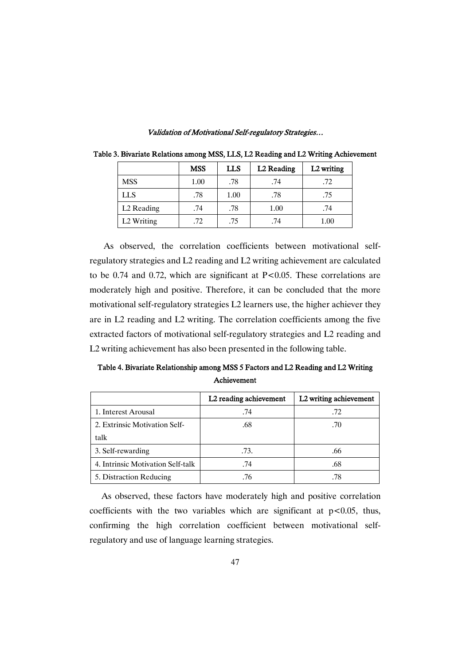|                        | <b>MSS</b> | LLS  | L2 Reading | L2 writing |
|------------------------|------------|------|------------|------------|
| <b>MSS</b>             | 1.00       | .78  | .74        | .72        |
| <b>LLS</b>             | .78        | 1.00 | .78        | .75        |
| L <sub>2</sub> Reading | .74        | .78  | 1.00       | .74        |
| L <sub>2</sub> Writing | .72        | .75  | .74        | $1.00\,$   |

Table 3. Bivariate Relations among MSS, LLS, L2 Reading and L2 Writing Achievement

As observed, the correlation coefficients between motivational selfregulatory strategies and L2 reading and L2 writing achievement are calculated to be 0.74 and 0.72, which are significant at  $P < 0.05$ . These correlations are moderately high and positive. Therefore, it can be concluded that the more motivational self-regulatory strategies L2 learners use, the higher achiever they are in L2 reading and L2 writing. The correlation coefficients among the five extracted factors of motivational self-regulatory strategies and L2 reading and L2 writing achievement has also been presented in the following table.

Table 4. Bivariate Relationship among MSS 5 Factors and L2 Reading and L2 Writing Achievement 

|                                   | L2 reading achievement | L2 writing achievement |
|-----------------------------------|------------------------|------------------------|
| 1. Interest Arousal               | .74                    | .72                    |
| 2. Extrinsic Motivation Self-     | .68                    | .70                    |
| talk                              |                        |                        |
| 3. Self-rewarding                 | .73.                   | .66                    |
| 4. Intrinsic Motivation Self-talk | .74                    | .68                    |
| 5. Distraction Reducing           | .76                    | .78                    |

As observed, these factors have moderately high and positive correlation coefficients with the two variables which are significant at  $p < 0.05$ , thus, confirming the high correlation coefficient between motivational selfregulatory and use of language learning strategies.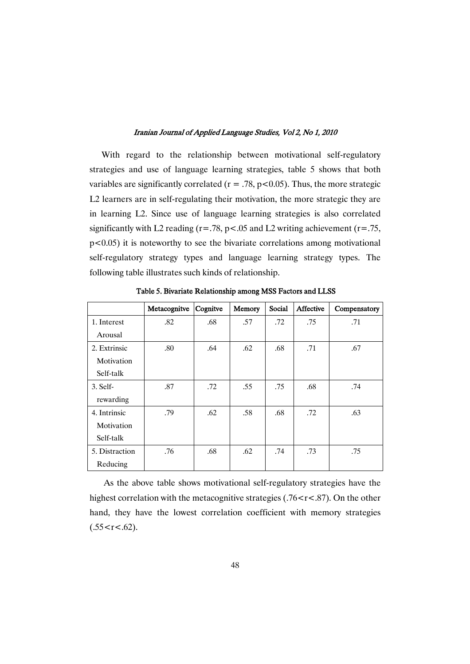With regard to the relationship between motivational self-regulatory strategies and use of language learning strategies, table 5 shows that both variables are significantly correlated ( $r = .78$ ,  $p < 0.05$ ). Thus, the more strategic L2 learners are in self-regulating their motivation, the more strategic they are in learning L2. Since use of language learning strategies is also correlated significantly with L2 reading ( $r = .78$ ,  $p < .05$  and L2 writing achievement ( $r = .75$ , p<0.05) it is noteworthy to see the bivariate correlations among motivational self-regulatory strategy types and language learning strategy types. The following table illustrates such kinds of relationship.

|                | Metacognitve | Cognitve | Memory | Social | Affective | Compensatory |
|----------------|--------------|----------|--------|--------|-----------|--------------|
| 1. Interest    | .82          | .68      | .57    | .72    | .75       | .71          |
| Arousal        |              |          |        |        |           |              |
| 2. Extrinsic   | .80          | .64      | .62    | .68    | .71       | .67          |
| Motivation     |              |          |        |        |           |              |
| Self-talk      |              |          |        |        |           |              |
| $3.$ Self-     | .87          | .72      | .55    | .75    | .68       | .74          |
| rewarding      |              |          |        |        |           |              |
| 4. Intrinsic   | .79          | .62      | .58    | .68    | .72       | .63          |
| Motivation     |              |          |        |        |           |              |
| Self-talk      |              |          |        |        |           |              |
| 5. Distraction | .76          | .68      | .62    | .74    | .73       | .75          |
| Reducing       |              |          |        |        |           |              |

Table 5. Bivariate Relationship among MSS Factors and LLSS

As the above table shows motivational self-regulatory strategies have the highest correlation with the metacognitive strategies  $(.76 < r < .87)$ . On the other hand, they have the lowest correlation coefficient with memory strategies  $(.55 < r < .62)$ .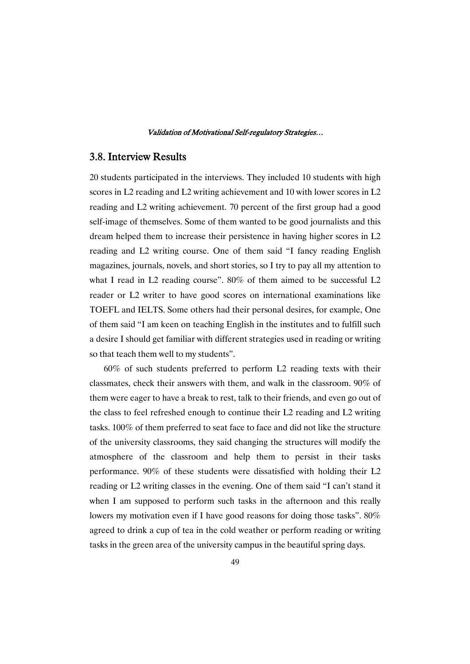# 3.8. Interview Results

20 students participated in the interviews. They included 10 students with high scores in L2 reading and L2 writing achievement and 10 with lower scores in L2 reading and L2 writing achievement. 70 percent of the first group had a good self-image of themselves. Some of them wanted to be good journalists and this dream helped them to increase their persistence in having higher scores in L2 reading and L2 writing course. One of them said "I fancy reading English magazines, journals, novels, and short stories, so I try to pay all my attention to what I read in L2 reading course". 80% of them aimed to be successful L2 reader or L2 writer to have good scores on international examinations like TOEFL and IELTS. Some others had their personal desires, for example, One of them said "I am keen on teaching English in the institutes and to fulfill such a desire I should get familiar with different strategies used in reading or writing so that teach them well to my students".

60% of such students preferred to perform L2 reading texts with their classmates, check their answers with them, and walk in the classroom. 90% of them were eager to have a break to rest, talk to their friends, and even go out of the class to feel refreshed enough to continue their L2 reading and L2 writing tasks. 100% of them preferred to seat face to face and did not like the structure of the university classrooms, they said changing the structures will modify the atmosphere of the classroom and help them to persist in their tasks performance. 90% of these students were dissatisfied with holding their L2 reading or L2 writing classes in the evening. One of them said "I can't stand it when I am supposed to perform such tasks in the afternoon and this really lowers my motivation even if I have good reasons for doing those tasks". 80% agreed to drink a cup of tea in the cold weather or perform reading or writing tasks in the green area of the university campus in the beautiful spring days.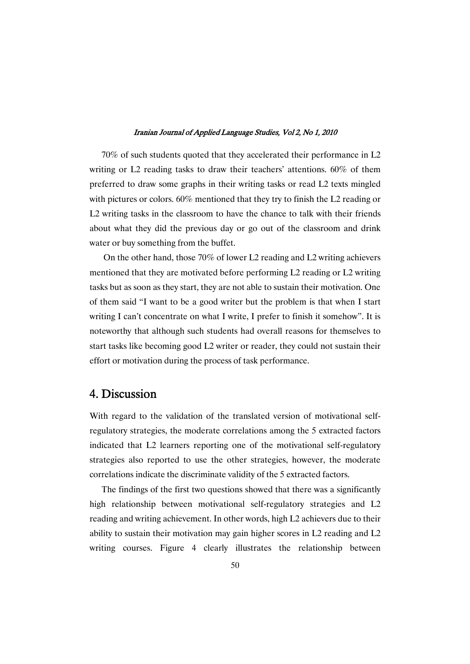70% of such students quoted that they accelerated their performance in L2 writing or L2 reading tasks to draw their teachers' attentions. 60% of them preferred to draw some graphs in their writing tasks or read L2 texts mingled with pictures or colors. 60% mentioned that they try to finish the L2 reading or L2 writing tasks in the classroom to have the chance to talk with their friends about what they did the previous day or go out of the classroom and drink water or buy something from the buffet.

On the other hand, those 70% of lower L2 reading and L2 writing achievers mentioned that they are motivated before performing L2 reading or L2 writing tasks but as soon as they start, they are not able to sustain their motivation. One of them said "I want to be a good writer but the problem is that when I start writing I can't concentrate on what I write, I prefer to finish it somehow". It is noteworthy that although such students had overall reasons for themselves to start tasks like becoming good L2 writer or reader, they could not sustain their effort or motivation during the process of task performance.

# 4. Discussion

With regard to the validation of the translated version of motivational selfregulatory strategies, the moderate correlations among the 5 extracted factors indicated that L2 learners reporting one of the motivational self-regulatory strategies also reported to use the other strategies, however, the moderate correlations indicate the discriminate validity of the 5 extracted factors.

The findings of the first two questions showed that there was a significantly high relationship between motivational self-regulatory strategies and L2 reading and writing achievement. In other words, high L2 achievers due to their ability to sustain their motivation may gain higher scores in L2 reading and L2 writing courses. Figure 4 clearly illustrates the relationship between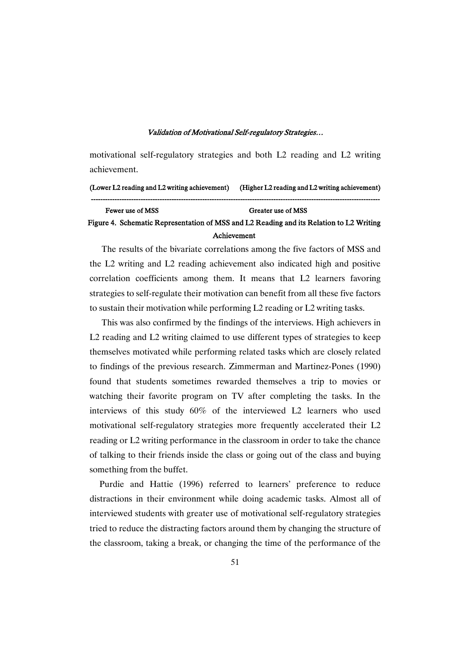motivational self-regulatory strategies and both L2 reading and L2 writing achievement.

### (Lower L2 reading and L2 writing achievement) (Higher L2 reading and L2 writing achievement) --------------------------------------------------------------------------------------------------------------------------

# Fewer use of MSS Greater use of MSS Figure 4. Schematic Representation of MSS and L2 Reading and its Relation to L2 Writing Achievement

The results of the bivariate correlations among the five factors of MSS and the L2 writing and L2 reading achievement also indicated high and positive correlation coefficients among them. It means that L2 learners favoring strategies to self-regulate their motivation can benefit from all these five factors to sustain their motivation while performing L2 reading or L2 writing tasks.

This was also confirmed by the findings of the interviews. High achievers in L2 reading and L2 writing claimed to use different types of strategies to keep themselves motivated while performing related tasks which are closely related to findings of the previous research. Zimmerman and Martinez-Pones (1990) found that students sometimes rewarded themselves a trip to movies or watching their favorite program on TV after completing the tasks. In the interviews of this study 60% of the interviewed L2 learners who used motivational self-regulatory strategies more frequently accelerated their L2 reading or L2 writing performance in the classroom in order to take the chance of talking to their friends inside the class or going out of the class and buying something from the buffet.

Purdie and Hattie (1996) referred to learners' preference to reduce distractions in their environment while doing academic tasks. Almost all of interviewed students with greater use of motivational self-regulatory strategies tried to reduce the distracting factors around them by changing the structure of the classroom, taking a break, or changing the time of the performance of the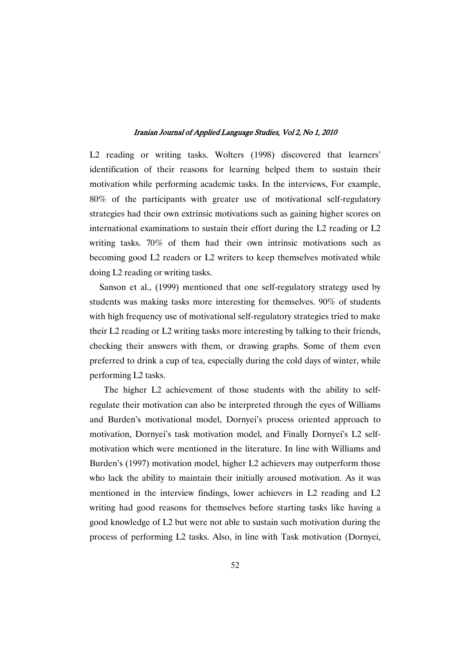L2 reading or writing tasks. Wolters (1998) discovered that learners' identification of their reasons for learning helped them to sustain their motivation while performing academic tasks. In the interviews, For example, 80% of the participants with greater use of motivational self-regulatory strategies had their own extrinsic motivations such as gaining higher scores on international examinations to sustain their effort during the L2 reading or L2 writing tasks. 70% of them had their own intrinsic motivations such as becoming good L2 readers or L2 writers to keep themselves motivated while doing L2 reading or writing tasks.

Sanson et al., (1999) mentioned that one self-regulatory strategy used by students was making tasks more interesting for themselves. 90% of students with high frequency use of motivational self-regulatory strategies tried to make their L2 reading or L2 writing tasks more interesting by talking to their friends, checking their answers with them, or drawing graphs. Some of them even preferred to drink a cup of tea, especially during the cold days of winter, while performing L2 tasks.

The higher L2 achievement of those students with the ability to selfregulate their motivation can also be interpreted through the eyes of Williams and Burden's motivational model, Dornyei's process oriented approach to motivation, Dornyei's task motivation model, and Finally Dornyei's L2 selfmotivation which were mentioned in the literature. In line with Williams and Burden's (1997) motivation model, higher L2 achievers may outperform those who lack the ability to maintain their initially aroused motivation. As it was mentioned in the interview findings, lower achievers in L2 reading and L2 writing had good reasons for themselves before starting tasks like having a good knowledge of L2 but were not able to sustain such motivation during the process of performing L2 tasks. Also, in line with Task motivation (Dornyei,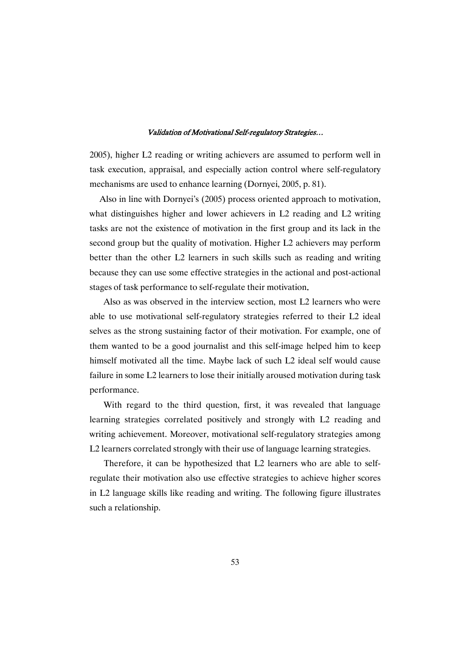2005), higher L2 reading or writing achievers are assumed to perform well in task execution, appraisal, and especially action control where self-regulatory mechanisms are used to enhance learning (Dornyei, 2005, p. 81).

Also in line with Dornyei's (2005) process oriented approach to motivation, what distinguishes higher and lower achievers in L2 reading and L2 writing tasks are not the existence of motivation in the first group and its lack in the second group but the quality of motivation. Higher L2 achievers may perform better than the other L2 learners in such skills such as reading and writing because they can use some effective strategies in the actional and post-actional stages of task performance to self-regulate their motivation.

Also as was observed in the interview section, most L2 learners who were able to use motivational self-regulatory strategies referred to their L2 ideal selves as the strong sustaining factor of their motivation. For example, one of them wanted to be a good journalist and this self-image helped him to keep himself motivated all the time. Maybe lack of such L2 ideal self would cause failure in some L2 learners to lose their initially aroused motivation during task performance.

With regard to the third question, first, it was revealed that language learning strategies correlated positively and strongly with L2 reading and writing achievement. Moreover, motivational self-regulatory strategies among L2 learners correlated strongly with their use of language learning strategies.

Therefore, it can be hypothesized that L2 learners who are able to selfregulate their motivation also use effective strategies to achieve higher scores in L2 language skills like reading and writing. The following figure illustrates such a relationship.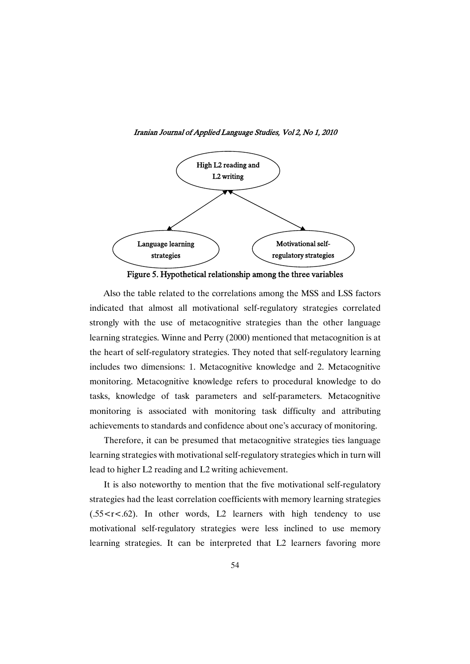

Iranian Journal of Applied Language Studies, Vol 2, No 1, 2010

Also the table related to the correlations among the MSS and LSS factors indicated that almost all motivational self-regulatory strategies correlated strongly with the use of metacognitive strategies than the other language learning strategies. Winne and Perry (2000) mentioned that metacognition is at the heart of self-regulatory strategies. They noted that self-regulatory learning includes two dimensions: 1. Metacognitive knowledge and 2. Metacognitive monitoring. Metacognitive knowledge refers to procedural knowledge to do tasks, knowledge of task parameters and self-parameters. Metacognitive monitoring is associated with monitoring task difficulty and attributing achievements to standards and confidence about one's accuracy of monitoring.

Therefore, it can be presumed that metacognitive strategies ties language learning strategies with motivational self-regulatory strategies which in turn will lead to higher L2 reading and L2 writing achievement.

It is also noteworthy to mention that the five motivational self-regulatory strategies had the least correlation coefficients with memory learning strategies  $(.55 < r < .62)$ . In other words, L2 learners with high tendency to use motivational self-regulatory strategies were less inclined to use memory learning strategies. It can be interpreted that L2 learners favoring more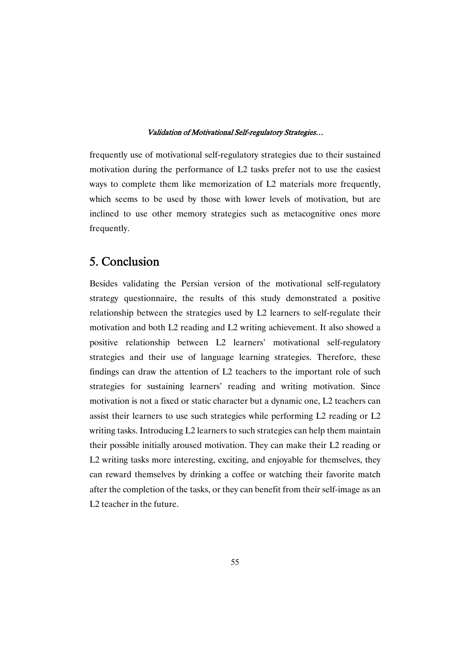frequently use of motivational self-regulatory strategies due to their sustained motivation during the performance of L2 tasks prefer not to use the easiest ways to complete them like memorization of L2 materials more frequently, which seems to be used by those with lower levels of motivation, but are inclined to use other memory strategies such as metacognitive ones more frequently.

# 5. Conclusion

Besides validating the Persian version of the motivational self-regulatory strategy questionnaire, the results of this study demonstrated a positive relationship between the strategies used by L2 learners to self-regulate their motivation and both L2 reading and L2 writing achievement. It also showed a positive relationship between L2 learners' motivational self-regulatory strategies and their use of language learning strategies. Therefore, these findings can draw the attention of L2 teachers to the important role of such strategies for sustaining learners' reading and writing motivation. Since motivation is not a fixed or static character but a dynamic one, L2 teachers can assist their learners to use such strategies while performing L2 reading or L2 writing tasks. Introducing L2 learners to such strategies can help them maintain their possible initially aroused motivation. They can make their L2 reading or L2 writing tasks more interesting, exciting, and enjoyable for themselves, they can reward themselves by drinking a coffee or watching their favorite match after the completion of the tasks, or they can benefit from their self-image as an L2 teacher in the future.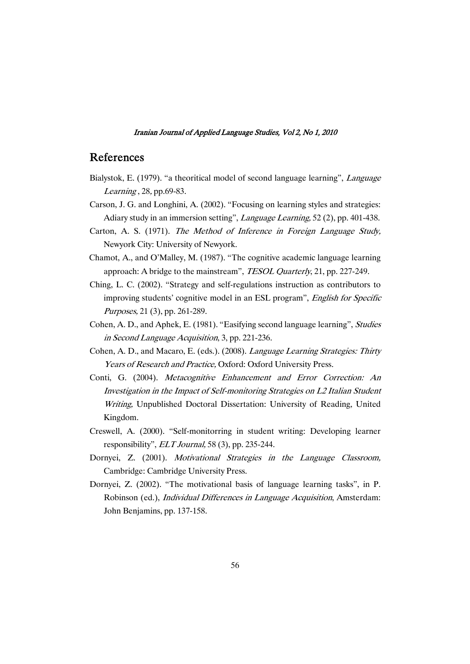### References

- Bialystok, E. (1979). "a theoritical model of second language learning", *Language* Learning , 28, pp.69-83.
- Carson, J. G. and Longhini, A. (2002). "Focusing on learning styles and strategies: Adiary study in an immersion setting", *Language Learning*, 52 (2), pp. 401-438.
- Carton, A. S. (1971). The Method of Inference in Foreign Language Study, Newyork City: University of Newyork.
- Chamot, A., and O'Malley, M. (1987). "The cognitive academic language learning approach: A bridge to the mainstream", TESOL Quarterly, 21, pp. 227-249.
- Ching, L. C. (2002). "Strategy and self-regulations instruction as contributors to improving students' cognitive model in an ESL program", English for Specific Purposes, 21 (3), pp. 261-289.
- Cohen, A. D., and Aphek, E. (1981). "Easifying second language learning", Studies in Second Language Acquisition, 3, pp. 221-236.
- Cohen, A. D., and Macaro, E. (eds.). (2008). Language Learning Strategies: Thirty Years of Research and Practice, Oxford: Oxford University Press.
- Conti, G. (2004). Metacognitive Enhancement and Error Correction: An Investigation in the Impact of Self-monitoring Strategies on L2 Italian Student Writing, Unpublished Doctoral Dissertation: University of Reading, United Kingdom.
- Creswell, A. (2000). "Self-monitorring in student writing: Developing learner responsibility", ELT Journal, 58 (3), pp. 235-244.
- Dornyei, Z. (2001). Motivational Strategies in the Language Classroom, Cambridge: Cambridge University Press.
- Dornyei, Z. (2002). "The motivational basis of language learning tasks", in P. Robinson (ed.), Individual Differences in Language Acquisition, Amsterdam: John Benjamins, pp. 137-158.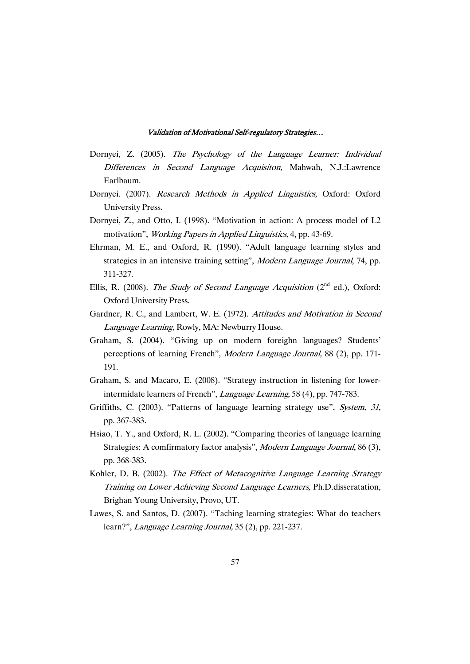- Dornyei, Z. (2005). The Psychology of the Language Learner: Individual Differences in Second Language Acquisiton, Mahwah, N.J.:Lawrence Earlbaum.
- Dornyei. (2007). Research Methods in Applied Linguistics, Oxford: Oxford University Press.
- Dornyei, Z., and Otto, I. (1998). "Motivation in action: A process model of L2 motivation", Working Papers in Applied Linguistics, 4, pp. 43-69.
- Ehrman, M. E., and Oxford, R. (1990). "Adult language learning styles and strategies in an intensive training setting", Modern Language Journal, 74, pp. 311-327.
- Ellis, R. (2008). The Study of Second Language Acquisition ( $2<sup>nd</sup>$  ed.), Oxford: Oxford University Press.
- Gardner, R. C., and Lambert, W. E. (1972). Attitudes and Motivation in Second Language Learning, Rowly, MA: Newburry House.
- Graham, S. (2004). "Giving up on modern foreighn languages? Students' perceptions of learning French", Modern Language Journal, 88 (2), pp. 171-191.
- Graham, S. and Macaro, E. (2008). "Strategy instruction in listening for lowerintermidate learners of French", Language Learning, 58 (4), pp. 747-783.
- Griffiths, C. (2003). "Patterns of language learning strategy use", System, <sup>31</sup>, pp. 367-383.
- Hsiao, T. Y., and Oxford, R. L. (2002). "Comparing theories of language learning Strategies: A comfirmatory factor analysis", Modern Language Journal, 86 (3), pp. 368-383.
- Kohler, D. B. (2002). The Effect of Metacognitive Language Learning Strategy Training on Lower Achieving Second Language Learners, Ph.D.disseratation, Brighan Young University, Provo, UT.
- Lawes, S. and Santos, D. (2007). "Taching learning strategies: What do teachers learn?", *Language Learning Journal*, 35 (2), pp. 221-237.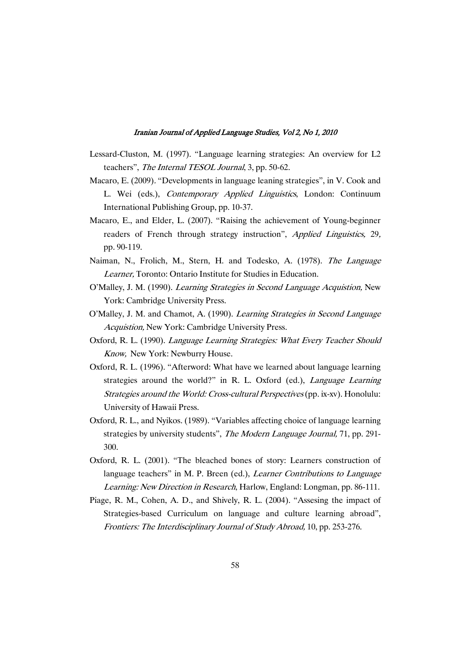- Lessard-Cluston, M. (1997). "Language learning strategies: An overview for L2 teachers", The Internal TESOL Journal, 3, pp. 50-62.
- Macaro, E. (2009). "Developments in language leaning strategies", in V. Cook and L. Wei (eds.), Contemporary Applied Linguistics, London: Continuum International Publishing Group, pp. 10-37.
- Macaro, E., and Elder, L. (2007). "Raising the achievement of Young-beginner readers of French through strategy instruction", Applied Linguistics, 29, pp. 90-119.
- Naiman, N., Frolich, M., Stern, H. and Todesko, A. (1978). The Language Learner, Toronto: Ontario Institute for Studies in Education.
- O'Malley, J. M. (1990). Learning Strategies in Second Language Acquistion, New York: Cambridge University Press.
- O'Malley, J. M. and Chamot, A. (1990). Learning Strategies in Second Language Acquistion, New York: Cambridge University Press.
- Oxford, R. L. (1990). Language Learning Strategies: What Every Teacher Should Know, New York: Newburry House.
- Oxford, R. L. (1996). "Afterword: What have we learned about language learning strategies around the world?" in R. L. Oxford (ed.), Language Learning Strategies around the World: Cross-cultural Perspectives (pp. ix-xv). Honolulu: University of Hawaii Press.
- Oxford, R. L., and Nyikos. (1989). "Variables affecting choice of language learning strategies by university students", The Modern Language Journal, 71, pp. 291-300.
- Oxford, R. L. (2001). "The bleached bones of story: Learners construction of language teachers" in M. P. Breen (ed.), *Learner Contributions to Language* Learning: New Direction in Research, Harlow, England: Longman, pp. 86-111.
- Piage, R. M., Cohen, A. D., and Shively, R. L. (2004). "Assesing the impact of Strategies-based Curriculum on language and culture learning abroad", Frontiers: The Interdisciplinary Journal of Study Abroad, 10, pp. 253-276.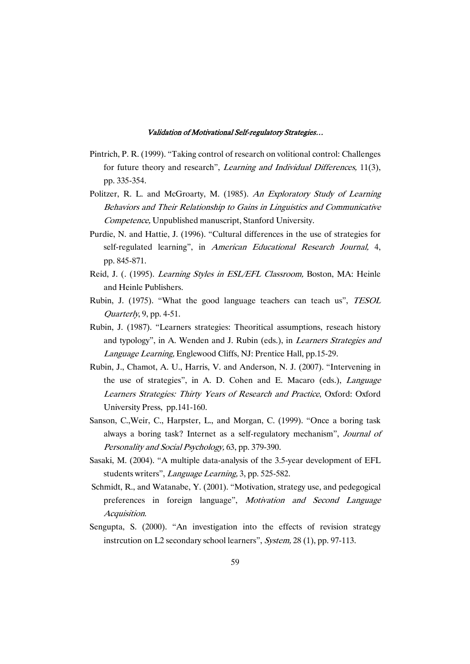- Pintrich, P. R. (1999). "Taking control of research on volitional control: Challenges for future theory and research", Learning and Individual Differences, 11(3), pp. 335-354.
- Politzer, R. L. and McGroarty, M. (1985). An Exploratory Study of Learning Behaviors and Their Relationship to Gains in Linguistics and Communicative Competence, Unpublished manuscript, Stanford University.
- Purdie, N. and Hattie, J. (1996). "Cultural differences in the use of strategies for self-regulated learning", in American Educational Research Journal, 4, pp. 845-871.
- Reid, J. (. (1995). *Learning Styles in ESL/EFL Classroom*, Boston, MA: Heinle and Heinle Publishers.
- Rubin, J. (1975). "What the good language teachers can teach us", TESOL Quarterly, 9, pp. 4-51.
- Rubin, J. (1987). "Learners strategies: Theoritical assumptions, reseach history and typology", in A. Wenden and J. Rubin (eds.), in Learners Strategies and Language Learning, Englewood Cliffs, NJ: Prentice Hall, pp.15-29.
- Rubin, J., Chamot, A. U., Harris, V. and Anderson, N. J. (2007). "Intervening in the use of strategies", in A. D. Cohen and E. Macaro (eds.), Language Learners Strategies: Thirty Years of Research and Practice, Oxford: Oxford University Press, pp.141-160.
- Sanson, C.,Weir, C., Harpster, L., and Morgan, C. (1999). "Once a boring task always a boring task? Internet as a self-regulatory mechanism", Journal of Personality and Social Psychology, 63, pp. 379-390.
- Sasaki, M. (2004). "A multiple data-analysis of the 3.5-year development of EFL students writers", Language Learning, 3, pp. 525-582.
- Schmidt, R., and Watanabe, Y. (2001). "Motivation, strategy use, and pedegogical preferences in foreign language", Motivation and Second Language Acquisition.
- Sengupta, S. (2000). "An investigation into the effects of revision strategy instrcution on L2 secondary school learners", System, 28 (1), pp. 97-113.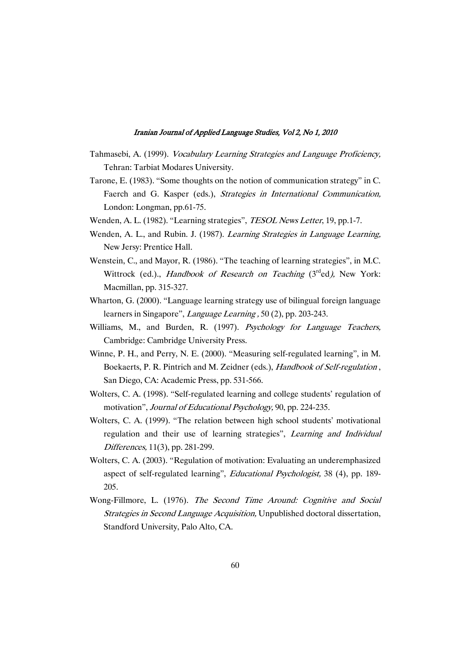- Tahmasebi, A. (1999). Vocabulary Learning Strategies and Language Proficiency, Tehran: Tarbiat Modares University.
- Tarone, E. (1983). "Some thoughts on the notion of communication strategy" in C. Faerch and G. Kasper (eds.), Strategies in International Communication, London: Longman, pp.61-75.
- Wenden, A. L. (1982). "Learning strategies", *TESOL News Letter*, 19, pp.1-7.
- Wenden, A. L., and Rubin. J. (1987). Learning Strategies in Language Learning, New Jersy: Prentice Hall.
- Wenstein, C., and Mayor, R. (1986). "The teaching of learning strategies", in M.C. Wittrock (ed.)., *Handbook of Research on Teaching* (3<sup>rd</sup>ed), New York: Macmillan, pp. 315-327.
- Wharton, G. (2000). "Language learning strategy use of bilingual foreign language learners in Singapore", *Language Learning*, 50 (2), pp. 203-243.
- Williams, M., and Burden, R. (1997). Psychology for Language Teachers, Cambridge: Cambridge University Press.
- Winne, P. H., and Perry, N. E. (2000). "Measuring self-regulated learning", in M. Boekaerts, P. R. Pintrich and M. Zeidner (eds.), Handbook of Self-regulation , San Diego, CA: Academic Press, pp. 531-566.
- Wolters, C. A. (1998). "Self-regulated learning and college students' regulation of motivation", Journal of Educational Psychology, 90, pp. 224-235.
- Wolters, C. A. (1999). "The relation between high school students' motivational regulation and their use of learning strategies", Learning and Individual Differences, 11(3), pp. 281-299.
- Wolters, C. A. (2003). "Regulation of motivation: Evaluating an underemphasized aspect of self-regulated learning", Educational Psychologist, 38 (4), pp. 189- 205.
- Wong-Fillmore, L. (1976). The Second Time Around: Cognitive and Social Strategies in Second Language Acquisition, Unpublished doctoral dissertation, Standford University, Palo Alto, CA.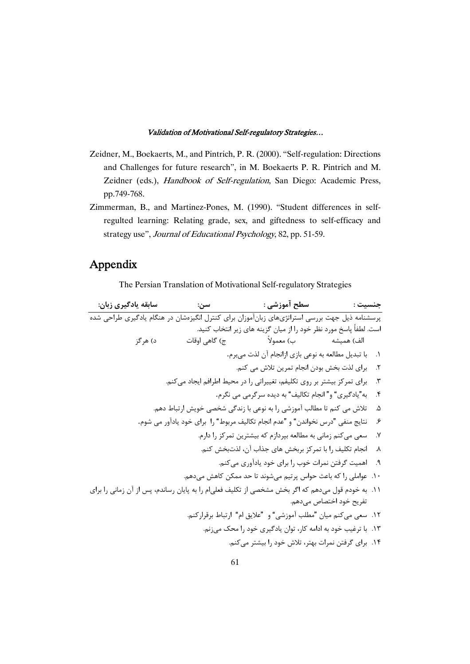- Zeidner, M., Boekaerts, M., and Pintrich, P. R. (2000). "Self-regulation: Directions and Challenges for future research", in M. Boekaerts P. R. Pintrich and M. Zeidner (eds.), Handbook of Self-regulation, San Diego: Academic Press, pp.749-768.
- Zimmerman, B., and Martinez-Pones, M. (1990). "Student differences in selfregulted learning: Relating grade, sex, and giftedness to self-efficacy and strategy use", Journal of Educational Psychology, 82, pp. 51-59.

# Appendix

The Persian Translation of Motivational Self-regulatory Strategies

**: : : : -** \$-: EU %4+ , :\$7% K)45 +Z)# #, '?& Y 
4\*#J .-45 81) + 47 , B N , [#J O@ .'# 7+ ( > + (^ O]( (8 \*(+ (! .  - .1 ..45 23 -( 01 .2 ..45 .CU VR , , T 9.@6 , )\* 75( .3 .% # \$- "! " "" .4 ..+ =, 0B A1: - , : ; .45 23 .5 .: , B , "= ! -" "-1 H," @4 F) .6 ., , 75( -)\* 5 W  .45 # .7 ..45 01 9 8& + 01 75( , !6 .8 ..45 , B , 8B ( -)C '(+ .9 ..+ 0+5 - ( -E -: .J HE X 5 , 6 .10 , IJ 9-#, J , 6 C !6 A1\* 01 5 .+ K> B .11 ..+ MA)B B L@ ..45,> =, " <3" ": ;6 " .45 # .12 .. QR , B 9,5 B ;P .13 ..45 )\* , B 23 9)? ( -)C .14